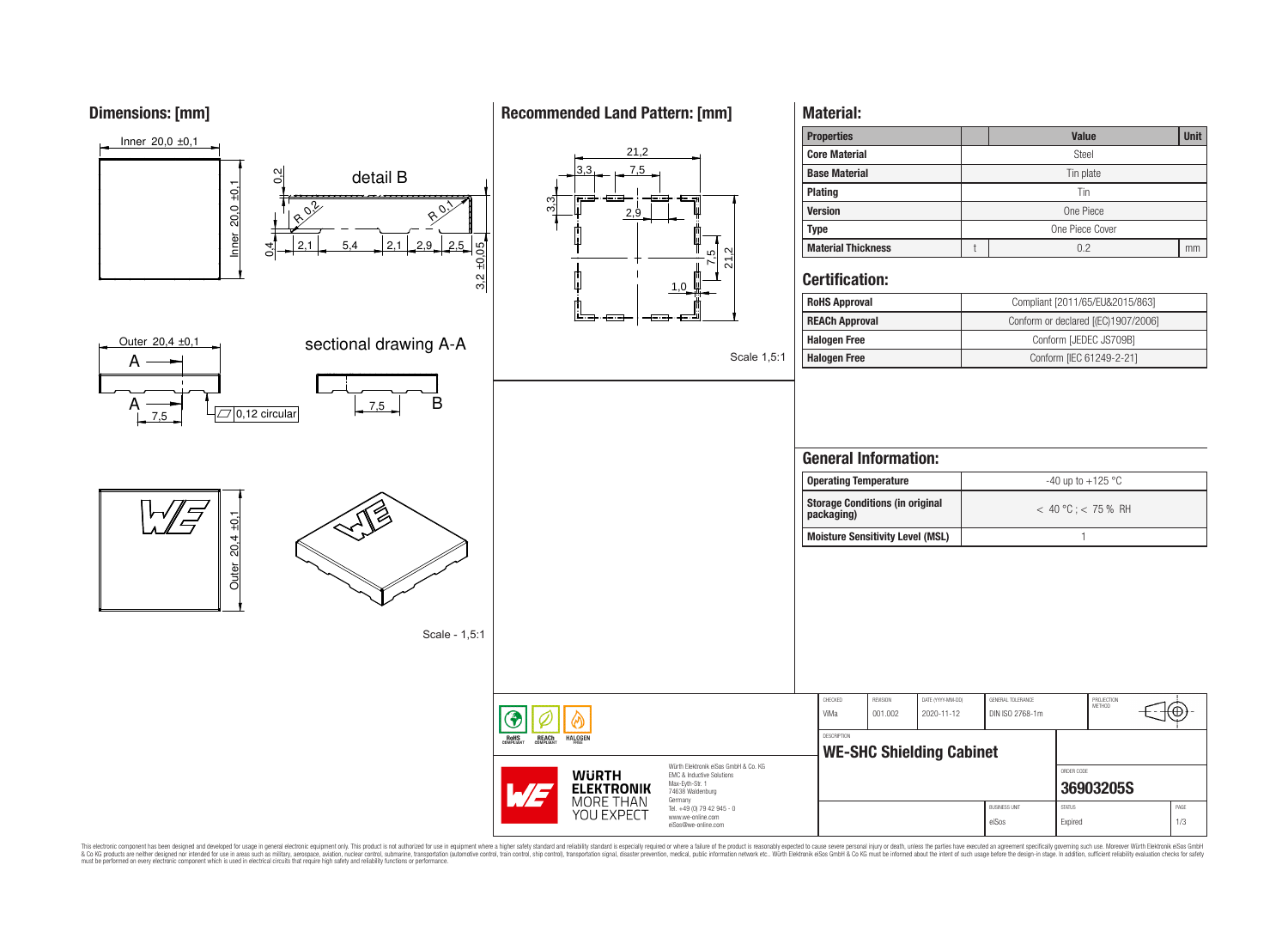# **Dimensions: [mm]**

# **Recommended Land Pattern: [mm]**

**Material:**



This electronic component has been designed and developed for usage in general electronic equipment only. This product is not authorized for use in equipment where a higher safely standard and reliability standard si espec & Ook produces the membed of the membed of the steam such as maility, aerospes, avidion, much membed membed member of the membed membed membed membed membed membed membed membed membed membed membed membed membed membed me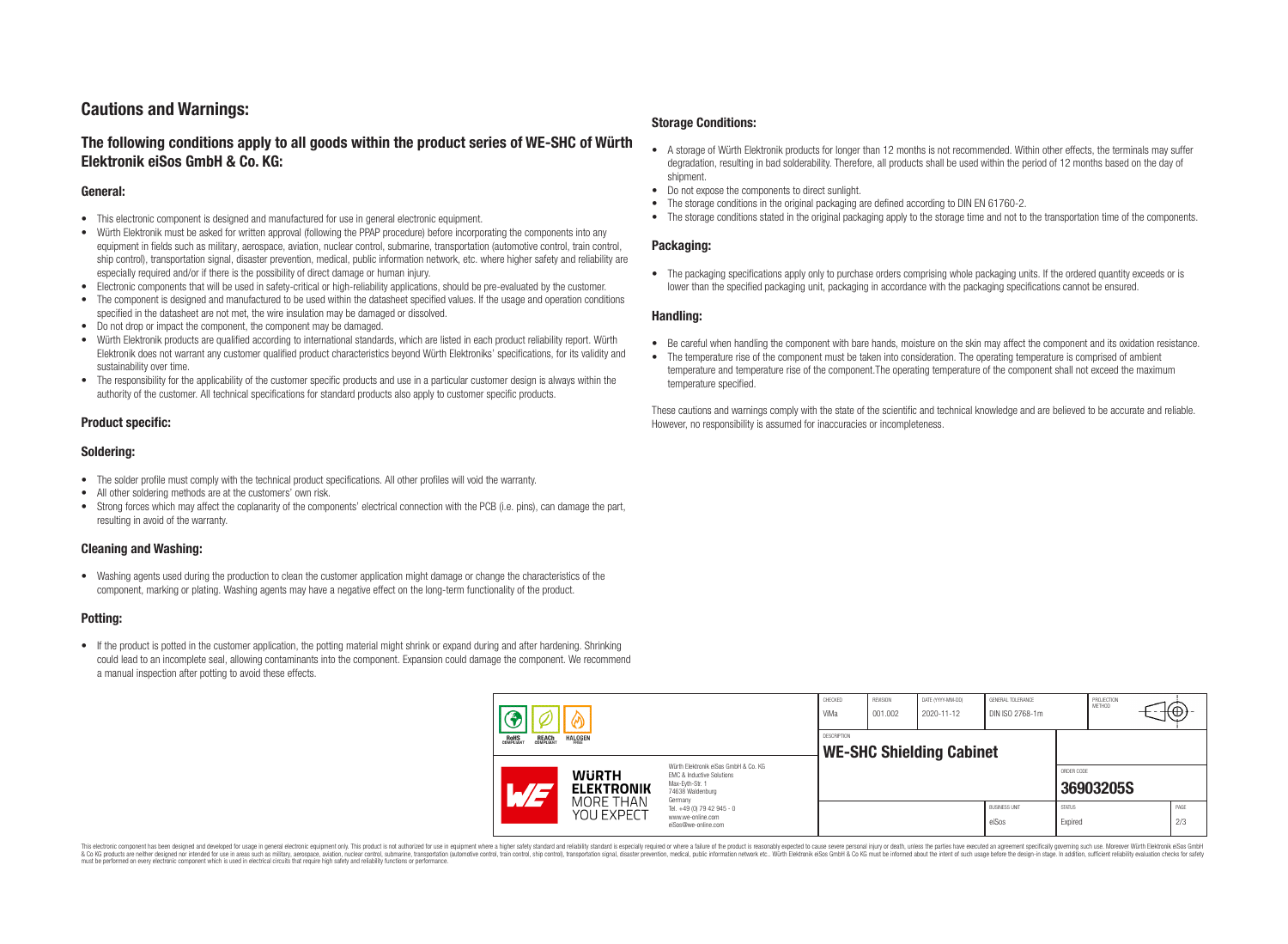# **Cautions and Warnings:**

# **The following conditions apply to all goods within the product series of WE-SHC of Würth Elektronik eiSos GmbH & Co. KG:**

### **General:**

- This electronic component is designed and manufactured for use in general electronic equipment.
- Würth Elektronik must be asked for written approval (following the PPAP procedure) before incorporating the components into any equipment in fields such as military, aerospace, aviation, nuclear control, submarine, transportation (automotive control, train control, ship control), transportation signal, disaster prevention, medical, public information network, etc. where higher safety and reliability are especially required and/or if there is the possibility of direct damage or human injury.
- Electronic components that will be used in safety-critical or high-reliability applications, should be pre-evaluated by the customer.
- The component is designed and manufactured to be used within the datasheet specified values. If the usage and operation conditions specified in the datasheet are not met, the wire insulation may be damaged or dissolved.
- Do not drop or impact the component, the component may be damaged.
- Würth Elektronik products are qualified according to international standards, which are listed in each product reliability report. Würth Elektronik does not warrant any customer qualified product characteristics beyond Würth Elektroniks' specifications, for its validity and sustainability over time.
- The responsibility for the applicability of the customer specific products and use in a particular customer design is always within the authority of the customer. All technical specifications for standard products also apply to customer specific products.

## **Product specific:**

### **Soldering:**

- The solder profile must comply with the technical product specifications. All other profiles will void the warranty.
- All other soldering methods are at the customers' own risk.
- Strong forces which may affect the coplanarity of the components' electrical connection with the PCB (i.e. pins), can damage the part, resulting in avoid of the warranty.

### **Cleaning and Washing:**

• Washing agents used during the production to clean the customer application might damage or change the characteristics of the component, marking or plating. Washing agents may have a negative effect on the long-term functionality of the product.

## **Potting:**

• If the product is potted in the customer application, the potting material might shrink or expand during and after hardening. Shrinking could lead to an incomplete seal, allowing contaminants into the component. Expansion could damage the component. We recommend a manual inspection after potting to avoid these effects.

### **Storage Conditions:**

- A storage of Würth Elektronik products for longer than 12 months is not recommended. Within other effects, the terminals may suffer degradation, resulting in bad solderability. Therefore, all products shall be used within the period of 12 months based on the day of shipment.
- Do not expose the components to direct sunlight.
- The storage conditions in the original packaging are defined according to DIN EN 61760-2.
- The storage conditions stated in the original packaging apply to the storage time and not to the transportation time of the components.

#### **Packaging:**

• The packaging specifications apply only to purchase orders comprising whole packaging units. If the ordered quantity exceeds or is lower than the specified packaging unit, packaging in accordance with the packaging specifications cannot be ensured.

#### **Handling:**

- Be careful when handling the component with bare hands, moisture on the skin may affect the component and its oxidation resistance.
- The temperature rise of the component must be taken into consideration. The operating temperature is comprised of ambient temperature and temperature rise of the component.The operating temperature of the component shall not exceed the maximum temperature specified.

These cautions and warnings comply with the state of the scientific and technical knowledge and are believed to be accurate and reliable. However, no responsibility is assumed for inaccuracies or incompleteness.

|  |                                                                         | CHECKED<br>ViMa                                              | REVISION<br>001.002                                                                                                                                                                                      | DATE (YYYY-MM-DD)<br>2020-11-12 | GENERAL TOLERANCE<br>DIN ISO 2768-1m |  | PROJECTION<br>METHOD          | ιΨ                       |           |             |
|--|-------------------------------------------------------------------------|--------------------------------------------------------------|----------------------------------------------------------------------------------------------------------------------------------------------------------------------------------------------------------|---------------------------------|--------------------------------------|--|-------------------------------|--------------------------|-----------|-------------|
|  | <b>HALOGEN</b><br><b>ROHS</b><br>COMPLIANT<br><b>REACH</b><br>COMPLIANT |                                                              | <b>DESCRIPTION</b><br><b>WE-SHC Shielding Cabinet</b>                                                                                                                                                    |                                 |                                      |  |                               |                          |           |             |
|  |                                                                         | <b>WURTH</b><br><b>ELEKTRONIK</b><br>MORE THAN<br>YOU EXPECT | Würth Elektronik eiSos GmbH & Co. KG<br><b>EMC &amp; Inductive Solutions</b><br>Max-Evth-Str. 1<br>74638 Waldenburg<br>Germany<br>Tel. +49 (0) 79 42 945 - 0<br>www.we-online.com<br>eiSos@we-online.com |                                 |                                      |  |                               | ORDER CODE               | 36903205S |             |
|  |                                                                         |                                                              |                                                                                                                                                                                                          |                                 |                                      |  | <b>BUSINESS UNIT</b><br>eiSos | <b>STATUS</b><br>Expired |           | PAGE<br>2/3 |

This electronic component has been designed and developed for usage in general electronic equipment only. This product is not authorized for use in equipment where a higher safely standard and reliability standard is espec & Ook produces the membed of the membed of the steam such as maility, aerospes, avidion, much membed membed member of the membed membed membed membed membed membed membed membed membed membed membed membed membed membed me